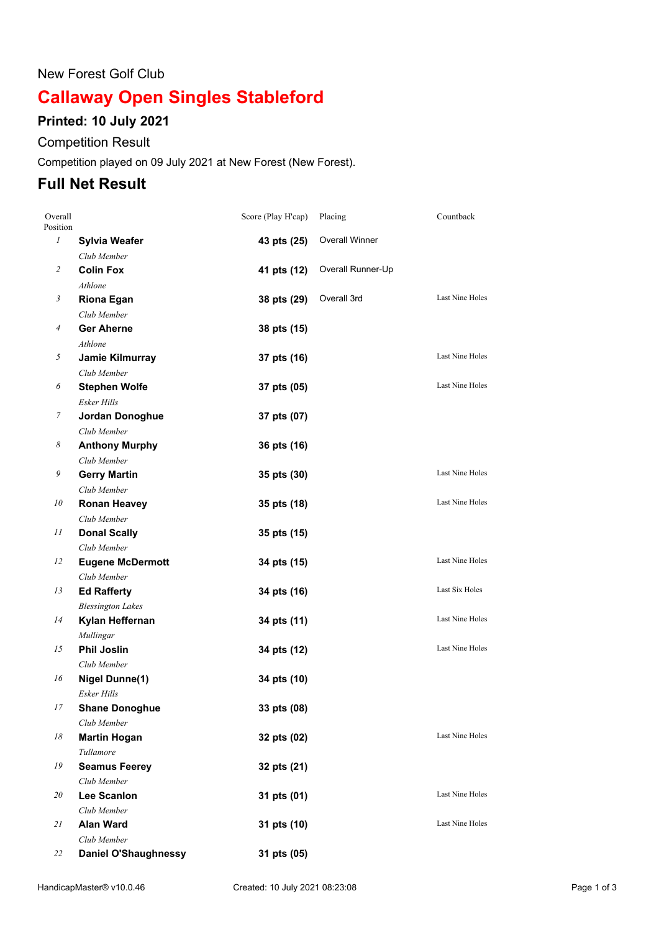#### New Forest Golf Club

# **Callaway Open Singles Stableford**

## **Printed: 10 July 2021**

### Competition Result

Competition played on 09 July 2021 at New Forest (New Forest).

# **Full Net Result**

| Overall<br>Position |                                 | Score (Play H'cap) | Placing           | Countback              |
|---------------------|---------------------------------|--------------------|-------------------|------------------------|
| $\mathcal{I}$       | <b>Sylvia Weafer</b>            | 43 pts (25)        | Overall Winner    |                        |
|                     | Club Member                     |                    |                   |                        |
| 2                   | <b>Colin Fox</b>                | 41 pts (12)        | Overall Runner-Up |                        |
|                     | Athlone                         |                    |                   |                        |
| 3                   | <b>Riona Egan</b>               | 38 pts (29)        | Overall 3rd       | Last Nine Holes        |
|                     | Club Member                     |                    |                   |                        |
| 4                   | <b>Ger Aherne</b>               | 38 pts (15)        |                   |                        |
|                     | Athlone                         |                    |                   |                        |
| 5                   | Jamie Kilmurray                 | 37 pts (16)        |                   | <b>Last Nine Holes</b> |
|                     | Club Member                     |                    |                   |                        |
| 6                   | <b>Stephen Wolfe</b>            | 37 pts (05)        |                   | Last Nine Holes        |
|                     | Esker Hills                     |                    |                   |                        |
| 7                   | Jordan Donoghue                 | 37 pts (07)        |                   |                        |
|                     | Club Member                     |                    |                   |                        |
| 8                   | <b>Anthony Murphy</b>           | 36 pts (16)        |                   |                        |
|                     | Club Member                     |                    |                   |                        |
| 9                   | <b>Gerry Martin</b>             | 35 pts (30)        |                   | Last Nine Holes        |
|                     | Club Member                     |                    |                   |                        |
| 10                  | <b>Ronan Heavey</b>             | 35 pts (18)        |                   | <b>Last Nine Holes</b> |
|                     | Club Member                     |                    |                   |                        |
| 11                  | <b>Donal Scally</b>             | 35 pts (15)        |                   |                        |
|                     | Club Member                     |                    |                   |                        |
| 12                  | <b>Eugene McDermott</b>         | 34 pts (15)        |                   | Last Nine Holes        |
|                     | Club Member                     |                    |                   | Last Six Holes         |
| 13                  | <b>Ed Rafferty</b>              | 34 pts (16)        |                   |                        |
| 14                  | <b>Blessington Lakes</b>        |                    |                   | Last Nine Holes        |
|                     | Kylan Heffernan                 | 34 pts (11)        |                   |                        |
| 15                  | Mullingar<br><b>Phil Joslin</b> |                    |                   | Last Nine Holes        |
|                     | Club Member                     | 34 pts (12)        |                   |                        |
| 16                  | <b>Nigel Dunne(1)</b>           | 34 pts (10)        |                   |                        |
|                     | Esker Hills                     |                    |                   |                        |
| $17\,$              | <b>Shane Donoghue</b>           | 33 pts (08)        |                   |                        |
|                     | Club Member                     |                    |                   |                        |
| 18                  | <b>Martin Hogan</b>             | 32 pts (02)        |                   | <b>Last Nine Holes</b> |
|                     | Tullamore                       |                    |                   |                        |
| 19                  | <b>Seamus Feerey</b>            | 32 pts (21)        |                   |                        |
|                     | Club Member                     |                    |                   |                        |
| 20                  | Lee Scanlon                     | 31 pts (01)        |                   | Last Nine Holes        |
|                     | Club Member                     |                    |                   |                        |
| 21                  | <b>Alan Ward</b>                | 31 pts (10)        |                   | <b>Last Nine Holes</b> |
|                     | Club Member                     |                    |                   |                        |
| 22                  | <b>Daniel O'Shaughnessy</b>     | 31 pts (05)        |                   |                        |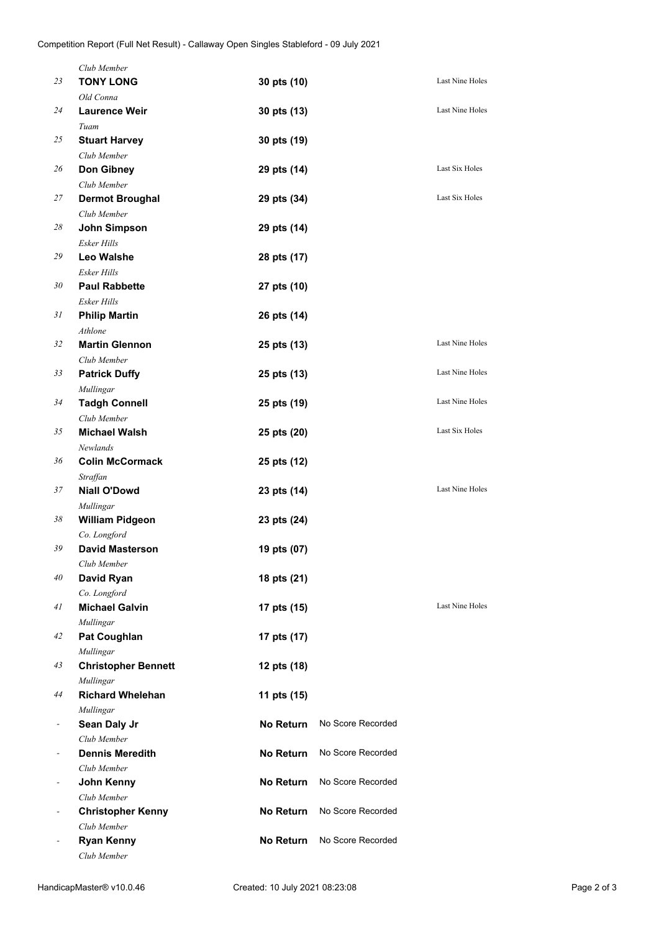|    | Club Member                            |                  |                   |                        |
|----|----------------------------------------|------------------|-------------------|------------------------|
| 23 | <b>TONY LONG</b>                       | 30 pts (10)      |                   | Last Nine Holes        |
|    | Old Conna                              |                  |                   |                        |
| 24 | <b>Laurence Weir</b>                   | 30 pts (13)      |                   | Last Nine Holes        |
|    | Tuam                                   |                  |                   |                        |
| 25 | <b>Stuart Harvey</b>                   | 30 pts (19)      |                   |                        |
|    | Club Member                            |                  |                   |                        |
| 26 | Don Gibney                             | 29 pts (14)      |                   | Last Six Holes         |
|    | Club Member                            |                  |                   | Last Six Holes         |
| 27 | <b>Dermot Broughal</b><br>Club Member  | 29 pts (34)      |                   |                        |
| 28 | John Simpson                           |                  |                   |                        |
|    | Esker Hills                            | 29 pts (14)      |                   |                        |
| 29 | <b>Leo Walshe</b>                      | 28 pts (17)      |                   |                        |
|    | Esker Hills                            |                  |                   |                        |
| 30 | <b>Paul Rabbette</b>                   | 27 pts (10)      |                   |                        |
|    | <b>Esker Hills</b>                     |                  |                   |                        |
| 31 | <b>Philip Martin</b>                   | 26 pts (14)      |                   |                        |
|    | Athlone                                |                  |                   |                        |
| 32 | <b>Martin Glennon</b>                  | 25 pts (13)      |                   | Last Nine Holes        |
|    | Club Member                            |                  |                   |                        |
| 33 | <b>Patrick Duffy</b>                   | 25 pts (13)      |                   | Last Nine Holes        |
|    | Mullingar                              |                  |                   |                        |
| 34 | <b>Tadgh Connell</b>                   | 25 pts (19)      |                   | Last Nine Holes        |
|    | Club Member                            |                  |                   |                        |
| 35 | <b>Michael Walsh</b>                   | 25 pts (20)      |                   | Last Six Holes         |
|    | Newlands                               |                  |                   |                        |
| 36 | <b>Colin McCormack</b>                 | 25 pts (12)      |                   |                        |
|    | Straffan                               |                  |                   | <b>Last Nine Holes</b> |
| 37 | <b>Niall O'Dowd</b>                    | 23 pts (14)      |                   |                        |
| 38 | Mullingar                              |                  |                   |                        |
|    | <b>William Pidgeon</b><br>Co. Longford | 23 pts (24)      |                   |                        |
| 39 | <b>David Masterson</b>                 | 19 pts (07)      |                   |                        |
|    | Club Member                            |                  |                   |                        |
| 40 | David Ryan                             | 18 pts (21)      |                   |                        |
|    | Co. Longford                           |                  |                   |                        |
| 41 | <b>Michael Galvin</b>                  | 17 pts (15)      |                   | Last Nine Holes        |
|    | Mullingar                              |                  |                   |                        |
| 42 | <b>Pat Coughlan</b>                    | 17 pts (17)      |                   |                        |
|    | Mullingar                              |                  |                   |                        |
| 43 | <b>Christopher Bennett</b>             | 12 pts (18)      |                   |                        |
|    | Mullingar                              |                  |                   |                        |
| 44 | <b>Richard Whelehan</b>                | 11 pts (15)      |                   |                        |
|    | Mullingar                              |                  |                   |                        |
|    | Sean Daly Jr                           | <b>No Return</b> | No Score Recorded |                        |
|    | Club Member<br><b>Dennis Meredith</b>  |                  | No Score Recorded |                        |
|    | Club Member                            | <b>No Return</b> |                   |                        |
|    | John Kenny                             | <b>No Return</b> | No Score Recorded |                        |
|    | Club Member                            |                  |                   |                        |
|    | <b>Christopher Kenny</b>               | <b>No Return</b> | No Score Recorded |                        |
|    | Club Member                            |                  |                   |                        |
|    | <b>Ryan Kenny</b>                      | No Return        | No Score Recorded |                        |
|    | Club Member                            |                  |                   |                        |